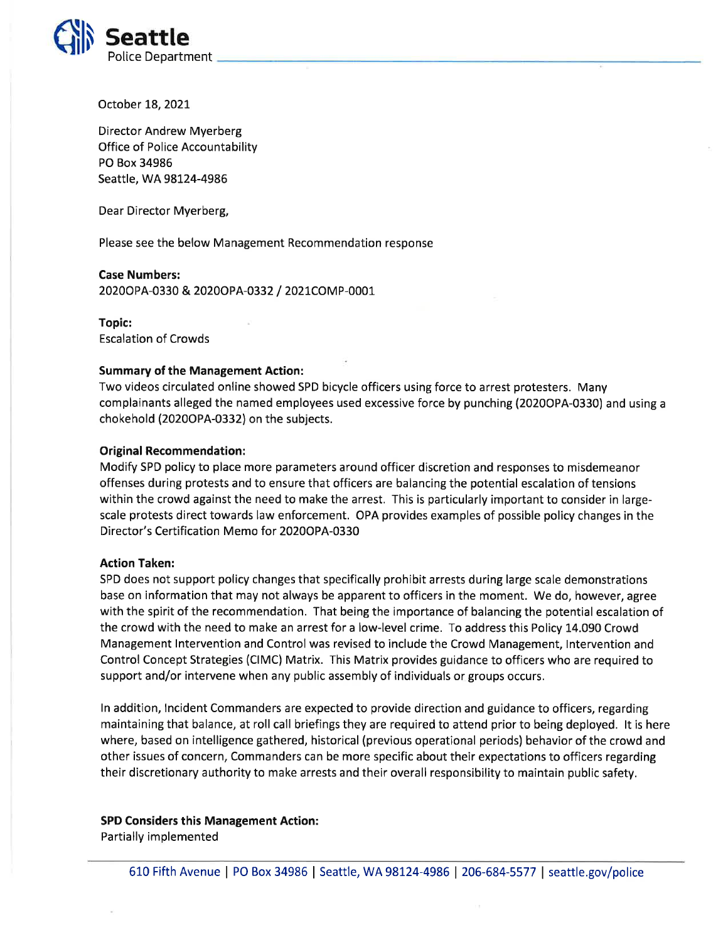

October 18, 2021

Director Andrew Myerberg Office of Police Accountability PO Box 34986 Seattle, WA 98124-4986

Dear Director Myerberg,

Please see the below Management Recommendation response

## Case Numbers:

2020opA-0330 & 2020opA-0332 / 2O2lCOMp-0001

Topic: Escalation of Crowds

## Summary of the Management Action:

Two videos circulated online showed SPD bicycle officers using force to arrest protesters. Many complainants alleged the named employees used excessive force by punching (20200PA-0330) and using <sup>a</sup> chokehold (20200PA-0332) on the subjects.

## Original Recommendation:

Modify SPD policy to place more parameters around officer discretion and responses to misdemeanor offenses during protests and to ensure that officers are balancing the potential escalation of tensions within the crowd against the need to make the arrest. This is particularly important to consider in largescale protests direct towards law enforcement. OPA provides examples of possible policy changes in the Director's Certification Memo for 2020OPA-0330

### Action Taken:

SPD does not support policy changes that specifically prohibit arrests during large scale demonstrations base on information that may not always be apparent to officers in the moment. We do, however, agree with the spirit of the recommendation. That being the importance of balancing the potential escalation of the crowd with the need to make an arrest for a low-level crime. To address this Policy 14.090 Crowd Management Intervention and Control was revised to include the Crowd Management, Intervention and Control Concept Strategies (CIMC) Matrix. This Matrix provides guidance to officers who are required to support and/or intervene when any public assembly of individuals or groups occurs.

ln addition, lncident Commanders are expected to provide direction and guidance to officers, regarding maintaining that balance, at roll call briefings they are required to attend prior to being deployed. lt is here where, based on intelligence gathered, historical (previous operational periods) behavior of the crowd and other issues of concern, Commanders can be more specific about their expectations to officers regarding their discretionary authority to make arrests and their overall responsibility to maintain public safety.

# SPD Considers this Management Action:

Partially implemented